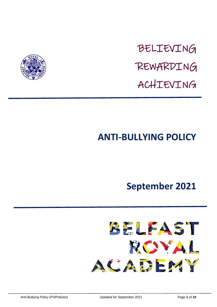

# BELIEVING REWARDING ACHIEVING

## **ANTI-BULLYING POLICY**

### **September 2021**

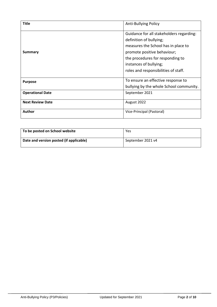| <b>Title</b>            | <b>Anti-Bullying Policy</b>              |
|-------------------------|------------------------------------------|
|                         | Guidance for all stakeholders regarding: |
|                         | definition of bullying;                  |
|                         | measures the School has in place to      |
| Summary                 | promote positive behaviour;              |
|                         | the procedures for responding to         |
|                         | instances of bullying;                   |
|                         | roles and responsibilities of staff.     |
| <b>Purpose</b>          | To ensure an effective response to       |
|                         | bullying by the whole School community.  |
| <b>Operational Date</b> | September 2021                           |
| <b>Next Review Date</b> | August 2022                              |
| Author                  | Vice-Principal (Pastoral)                |

| To be posted on School website          | Yes               |
|-----------------------------------------|-------------------|
| Date and version posted (if applicable) | September 2021 v4 |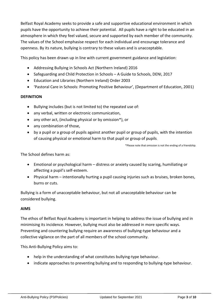Belfast Royal Academy seeks to provide a safe and supportive educational environment in which pupils have the opportunity to achieve their potential. All pupils have a right to be educated in an atmosphere in which they feel valued, secure and supported by each member of the community. The values of the School emphasise respect for each individual and encourage tolerance and openness. By its nature, bullying is contrary to these values and is unacceptable.

This policy has been drawn up in line with current government guidance and legislation:

- Addressing Bullying in Schools Act (Northern Ireland) 2016
- Safeguarding and Child Protection in Schools A Guide to Schools, DENI, 2017
- Education and Libraries (Northern Ireland) Order 2003
- 'Pastoral Care in Schools: Promoting Positive Behaviour', (Department of Education, 2001)

#### **DEFINITION**

- Bullying includes (but is not limited to) the repeated use of:
- any verbal, written or electronic communication,
- any other act, (including physical or by omission\*), or
- any combination of those.
- by a pupil or a group of pupils against another pupil or group of pupils, with the intention of causing physical or emotional harm to that pupil or group of pupils.

\*Please note that omission is not the ending of a friendship.

The School defines harm as:

- Emotional or psychological harm distress or anxiety caused by scaring, humiliating or affecting a pupil's self-esteem.
- Physical harm intentionally hurting a pupil causing injuries such as bruises, broken bones, burns or cuts.

Bullying is a form of unacceptable behaviour, but not all unacceptable behaviour can be considered bullying.

#### **AIMS**

The ethos of Belfast Royal Academy is important in helping to address the issue of bullying and in minimising its incidence. However, bullying must also be addressed in more specific ways. Preventing and countering bullying require an awareness of bullying-type behaviour and a collective vigilance on the part of all members of the school community.

This Anti-Bullying Policy aims to:

- help in the understanding of what constitutes bullying-type behaviour.
- indicate approaches to preventing bullying and to responding to bullying-type behaviour.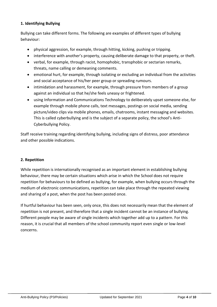#### **1. Identifying Bullying**

Bullying can take different forms. The following are examples of different types of bullying behaviour:

- physical aggression, for example, through hitting, kicking, pushing or tripping.
- interference with another's property, causing deliberate damage to that property, or theft.
- verbal, for example, through racist, homophobic, transphobic or sectarian remarks, threats, name calling or demeaning comments.
- emotional hurt, for example, through isolating or excluding an individual from the activities and social acceptance of his/her peer group or spreading rumours.
- intimidation and harassment, for example, through pressure from members of a group against an individual so that he/she feels uneasy or frightened.
- using Information and Communications Technology to deliberately upset someone else, for example through mobile phone calls, text messages, postings on social media, sending picture/video clips via mobile phones, emails, chatrooms, instant messaging and websites. This is called cyberbullying and is the subject of a separate policy, the school's Anti-Cyberbullying Policy.

Staff receive training regarding identifying bullying, including signs of distress, poor attendance and other possible indications.

#### **2. Repetition**

While repetition is internationally recognised as an important element in establishing bullying behaviour, there may be certain situations which arise in which the School does not require repetition for behaviours to be defined as bullying, for example, when bullying occurs through the medium of electronic communications, repetition can take place through the repeated viewing and sharing of a post, when the post has been posted once.

If hurtful behaviour has been seen, only once, this does not necessarily mean that the element of repetition is not present, and therefore that a single incident cannot be an instance of bullying. Different people may be aware of single incidents which together add up to a pattern. For this reason, it is crucial that all members of the school community report even single or low-level concerns.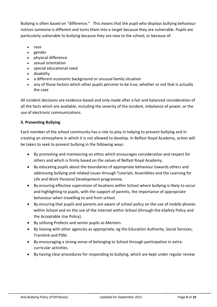Bullying is often based on "difference." This means that the pupil who displays bullying behaviour notices someone is different and turns them into a target because they are vulnerable. Pupils are particularly vulnerable to bullying because they are new to the school, or because of:

- race
- gender
- physical difference
- sexual orientation
- special educational need
- disability
- a different economic background or unusual family situation
- any of those factors which other pupils *perceive* to be true, whether or not that is actually the case

All incident decisions are evidence-based and only made after a fair and balanced consideration of all the facts which are available, including the severity of the incident, imbalance of power, or the use of electronic communications.

#### **3. Preventing Bullying**

Each member of the school community has a role to play in helping to prevent bullying and in creating an atmosphere in which it is not allowed to develop. In Belfast Royal Academy, action will be taken to seek to prevent bullying in the following ways:

- By promoting and maintaining an ethos which encourages consideration and respect for others and which is firmly based on the values of Belfast Royal Academy.
- By educating pupils about the boundaries of appropriate behaviour towards others and addressing bullying and related issues through Tutorials, Assemblies and the Learning for Life and Work Personal Development programme.
- By ensuring effective supervision of locations within School where bullying is likely to occur and highlighting to pupils, with the support of parents, the importance of appropriate behaviour when travelling to and from school.
- By ensuring that pupils and parents are aware of school policy on the use of mobile phones within School and on the use of the internet within School (through the eSafety Policy and the Acceptable Use Policy).
- By utilising Prefects and senior pupils as Mentors.
- By liaising with other agencies as appropriate, eg the Education Authority, Social Services, Translink and PSNI.
- By encouraging a strong sense of belonging to School through participation in extracurricular activities.
- By having clear procedures for responding to bullying, which are kept under regular review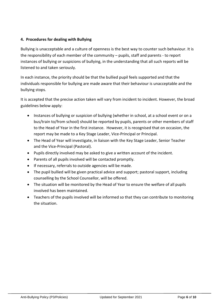#### **4. Procedures for dealing with Bullying**

Bullying is unacceptable and a culture of openness is the best way to counter such behaviour. It is the responsibility of each member of the community – pupils, staff and parents - to report instances of bullying or suspicions of bullying, in the understanding that all such reports will be listened to and taken seriously.

In each instance, the priority should be that the bullied pupil feels supported and that the individuals responsible for bullying are made aware that their behaviour is unacceptable and the bullying stops.

It is accepted that the precise action taken will vary from incident to incident. However, the broad guidelines below apply:

- Instances of bullying or suspicion of bullying (whether in school, at a school event or on a bus/train to/from school) should be reported by pupils, parents or other members of staff to the Head of Year in the first instance. However, it is recognised that on occasion, the report may be made to a Key Stage Leader, Vice-Principal or Principal.
- The Head of Year will investigate, in liaison with the Key Stage Leader, Senior Teacher and the Vice-Principal (Pastoral).
- Pupils directly involved may be asked to give a written account of the incident.
- Parents of all pupils involved will be contacted promptly.
- If necessary, referrals to outside agencies will be made.
- The pupil bullied will be given practical advice and support; pastoral support, including counselling by the School Counsellor, will be offered.
- The situation will be monitored by the Head of Year to ensure the welfare of all pupils involved has been maintained.
- Teachers of the pupils involved will be informed so that they can contribute to monitoring the situation.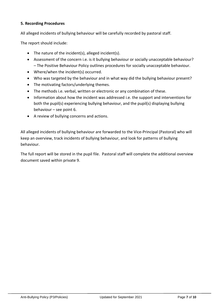#### **5. Recording Procedures**

All alleged incidents of bullying behaviour will be carefully recorded by pastoral staff.

The report should include:

- The nature of the incident(s), alleged incident(s).
- Assessment of the concern i.e. is it bullying behaviour or socially unacceptable behaviour? – The Positive Behaviour Policy outlines procedures for socially unacceptable behaviour.
- Where/when the incident(s) occurred.
- Who was targeted by the behaviour and in what way did the bullying behaviour present?
- The motivating factors/underlying themes.
- The methods i.e. verbal, written or electronic or any combination of these.
- Information about how the incident was addressed i.e. the support and interventions for both the pupil(s) experiencing bullying behaviour, and the pupil(s) displaying bullying behaviour – see point 6.
- A review of bullying concerns and actions.

All alleged incidents of bullying behaviour are forwarded to the Vice-Principal (Pastoral) who will keep an overview, track incidents of bullying behaviour, and look for patterns of bullying behaviour.

The full report will be stored in the pupil file. Pastoral staff will complete the additional overview document saved within private 9.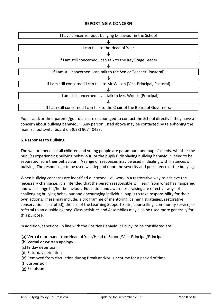#### **REPORTING A CONCERN**



Pupils and/or their parents/guardians are encouraged to contact the School directly if they have a concern about bullying behaviour. Any person listed above may be contacted by telephoning the main School switchboard on (028) 9074 0423.

#### **6. Responses to Bullying**

The welfare needs of all children and young people are paramount and pupils' needs, whether the pupil(s) experiencing bullying behaviour, or the pupil(s) displaying bullying behaviour, need to be separated from their behaviour. A range of responses may be used in dealing with instances of bullying. The response(s) to be used will depend upon the severity and persistence of the bullying.

When bullying concerns are identified our school will work in a restorative way to achieve the necessary change i.e. it is intended that the person responsible will learn from what has happened and will change his/her behaviour. Education and awareness-raising are effective ways of challenging bullying behaviour and encouraging individual pupils to take responsibility for their own actions. These may include: a programme of mentoring, calming strategies, restorative conservations (scripted), the use of the Learning Support Suite, counselling, community service, or referral to an outside agency. Class activities and Assemblies may also be used more generally for this purpose.

In addition, sanctions, in line with the Positive Behaviour Policy, to be considered are:

- (a) Verbal reprimand from Head of Year/Head of School/Vice-Principal/Principal
- (b) Verbal or written apology
- (c) Friday detention
- (d) Saturday detention
- (e) Removed from circulation during Break and/or Lunchtime for a period of time
- (f) Suspension
- (g) Expulsion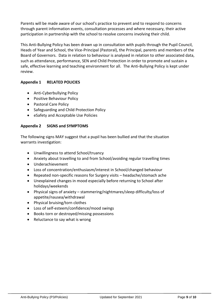Parents will be made aware of our school's practice to prevent and to respond to concerns through parent information events, consultation processes and where necessary, their active participation in partnership with the school to resolve concerns involving their child.

This Anti-Bullying Policy has been drawn up in consultation with pupils through the Pupil Council, Heads of Year and School, the Vice-Principal (Pastoral), the Principal, parents and members of the Board of Governors. Data in relation to behaviour is analysed in relation to other associated data, such as attendance, performance, SEN and Child Protection in order to promote and sustain a safe, effective learning and teaching environment for all. The Anti-Bullying Policy is kept under review.

#### **Appendix 1 RELATED POLICIES**

- Anti-Cyberbullying Policy
- Positive Behaviour Policy
- Pastoral Care Policy
- Safeguarding and Child Protection Policy
- eSafety and Acceptable Use Policies

#### **Appendix 2 SIGNS and SYMPTOMS**

The following signs MAY suggest that a pupil has been bullied and that the situation warrants investigation:

- Unwillingness to attend School/truancy
- Anxiety about travelling to and from School/avoiding regular travelling times
- Underachievement
- Loss of concentration/enthusiasm/interest in School/changed behaviour
- Repeated non-specific reasons for Surgery visits headache/stomach ache
- Unexplained changes in mood especially before returning to School after holidays/weekends
- Physical signs of anxiety stammering/nightmares/sleep difficulty/loss of appetite/nausea/withdrawal
- Physical bruising/torn clothes
- Loss of self-esteem/confidence/mood swings
- Books torn or destroyed/missing possessions
- Reluctance to say what is wrong